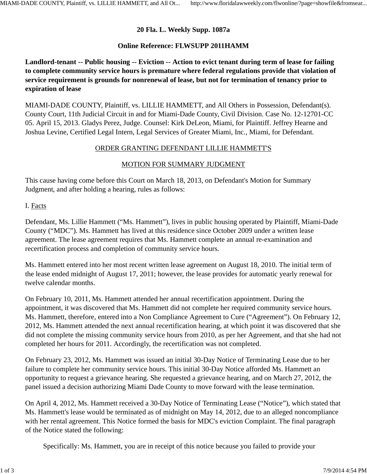# **20 Fla. L. Weekly Supp. 1087a**

## **Online Reference: FLWSUPP 2011HAMM**

**Landlord-tenant -- Public housing -- Eviction -- Action to evict tenant during term of lease for failing to complete community service hours is premature where federal regulations provide that violation of service requirement is grounds for nonrenewal of lease, but not for termination of tenancy prior to expiration of lease**

MIAMI-DADE COUNTY, Plaintiff, vs. LILLIE HAMMETT, and All Others in Possession, Defendant(s). County Court, 11th Judicial Circuit in and for Miami-Dade County, Civil Division. Case No. 12-12701-CC 05. April 15, 2013. Gladys Perez, Judge. Counsel: Kirk DeLeon, Miami, for Plaintiff. Jeffrey Hearne and Joshua Levine, Certified Legal Intern, Legal Services of Greater Miami, Inc., Miami, for Defendant.

## ORDER GRANTING DEFENDANT LILLIE HAMMETT'S

## MOTION FOR SUMMARY JUDGMENT

This cause having come before this Court on March 18, 2013, on Defendant's Motion for Summary Judgment, and after holding a hearing, rules as follows:

#### I. Facts

Defendant, Ms. Lillie Hammett ("Ms. Hammett"), lives in public housing operated by Plaintiff, Miami-Dade County ("MDC"). Ms. Hammett has lived at this residence since October 2009 under a written lease agreement. The lease agreement requires that Ms. Hammett complete an annual re-examination and recertification process and completion of community service hours.

Ms. Hammett entered into her most recent written lease agreement on August 18, 2010. The initial term of the lease ended midnight of August 17, 2011; however, the lease provides for automatic yearly renewal for twelve calendar months.

On February 10, 2011, Ms. Hammett attended her annual recertification appointment. During the appointment, it was discovered that Ms. Hammett did not complete her required community service hours. Ms. Hammett, therefore, entered into a Non Compliance Agreement to Cure ("Agreement"). On February 12, 2012, Ms. Hammett attended the next annual recertification hearing, at which point it was discovered that she did not complete the missing community service hours from 2010, as per her Agreement, and that she had not completed her hours for 2011. Accordingly, the recertification was not completed.

On February 23, 2012, Ms. Hammett was issued an initial 30-Day Notice of Terminating Lease due to her failure to complete her community service hours. This initial 30-Day Notice afforded Ms. Hammett an opportunity to request a grievance hearing. She requested a grievance hearing, and on March 27, 2012, the panel issued a decision authorizing Miami Dade County to move forward with the lease termination.

On April 4, 2012, Ms. Hammett received a 30-Day Notice of Terminating Lease ("Notice"), which stated that Ms. Hammett's lease would be terminated as of midnight on May 14, 2012, due to an alleged noncompliance with her rental agreement. This Notice formed the basis for MDC's eviction Complaint. The final paragraph of the Notice stated the following:

Specifically: Ms. Hammett, you are in receipt of this notice because you failed to provide your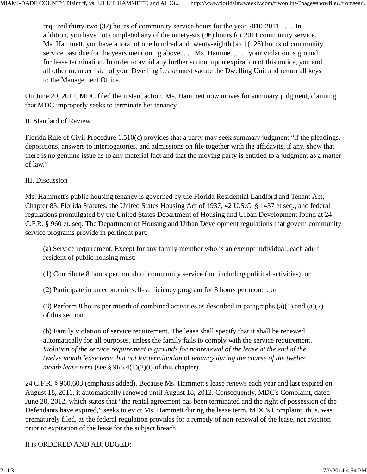required thirty-two (32) hours of community service hours for the year 2010-2011 . . . . In addition, you have not completed any of the ninety-six (96) hours for 2011 community service. Ms. Hammett, you have a total of one hundred and twenty-eighth [sic] (128) hours of community service past due for the years mentioning above. . . . Ms. Hammett, . . . your violation is ground for lease termination. In order to avoid any further action, upon expiration of this notice, you and all other member [sic] of your Dwelling Lease must vacate the Dwelling Unit and return all keys to the Management Office.

On June 20, 2012, MDC filed the instant action. Ms. Hammett now moves for summary judgment, claiming that MDC improperly seeks to terminate her tenancy.

## II. Standard of Review

Florida Rule of Civil Procedure 1.510(c) provides that a party may seek summary judgment "if the pleadings, depositions, answers to interrogatories, and admissions on file together with the affidavits, if any, show that there is no genuine issue as to any material fact and that the moving party is entitled to a judgment as a matter of law."

#### III. Discussion

Ms. Hammett's public housing tenancy is governed by the Florida Residential Landlord and Tenant Act, Chapter 83, Florida Statutes, the United States Housing Act of 1937, 42 U.S.C. § 1437 et seq., and federal regulations promulgated by the United States Department of Housing and Urban Development found at 24 C.F.R. § 960 et. seq. The Department of Housing and Urban Development regulations that govern community service programs provide in pertinent part:

(a) Service requirement. Except for any family member who is an exempt individual, each adult resident of public housing must:

(1) Contribute 8 hours per month of community service (not including political activities); or

(2) Participate in an economic self-sufficiency program for 8 hours per month; or

(3) Perform 8 hours per month of combined activities as described in paragraphs (a)(1) and (a)(2) of this section.

(b) Family violation of service requirement. The lease shall specify that it shall be renewed automatically for all purposes, unless the family fails to comply with the service requirement. *Violation of the service requirement is grounds for nonrenewal of the lease at the end of the twelve month lease term, but not for termination* of *tenancy during the course of the twelve month lease term* (see § 966.4(1)(2)(i) of this chapter).

24 C.F.R. § 960.603 (emphasis added). Because Ms. Hammett's lease renews each year and last expired on August 18, 2011, it automatically renewed until August 18, 2012. Consequently, MDC's Complaint, dated June 20, 2012, which states that "the rental agreement has been terminated and the right of possession of the Defendants have expired," seeks to evict Ms. Hammett during the lease term. MDC's Complaint, thus, was prematurely filed, as the federal regulation provides for a remedy of non-renewal of the lease, not eviction prior to expiration of the lease for the subject breach.

It is ORDERED AND ADJUDGED: